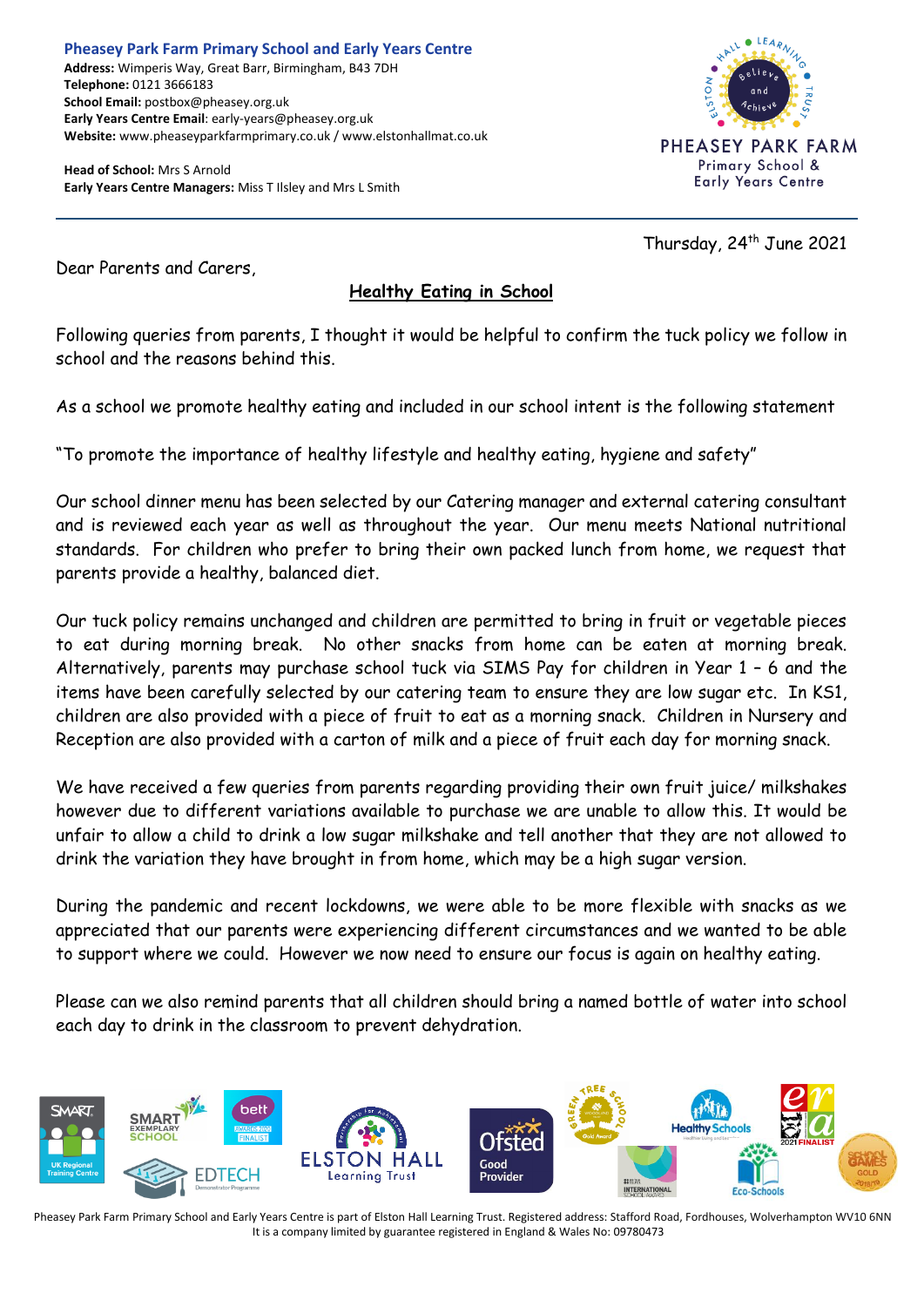**Pheasey Park Farm Primary School and Early Years Centre Address:** Wimperis Way, Great Barr, Birmingham, B43 7DH **Telephone:** 0121 3666183 **School Email:** postbox@pheasey.org.uk **Early Years Centre Email**: early-years@pheasey.org.uk **Website:** www.pheaseyparkfarmprimary.co.uk / www.elstonhallmat.co.uk

**Head of School:** Mrs S Arnold **Early Years Centre Managers:** Miss T Ilsley and Mrs L Smith



Thursday, 24<sup>th</sup> June 2021

Dear Parents and Carers,

## **Healthy Eating in School**

Following queries from parents, I thought it would be helpful to confirm the tuck policy we follow in school and the reasons behind this.

As a school we promote healthy eating and included in our school intent is the following statement

"To promote the importance of healthy lifestyle and healthy eating, hygiene and safety"

Our school dinner menu has been selected by our Catering manager and external catering consultant and is reviewed each year as well as throughout the year. Our menu meets National nutritional standards. For children who prefer to bring their own packed lunch from home, we request that parents provide a healthy, balanced diet.

Our tuck policy remains unchanged and children are permitted to bring in fruit or vegetable pieces to eat during morning break. No other snacks from home can be eaten at morning break. Alternatively, parents may purchase school tuck via SIMS Pay for children in Year 1 – 6 and the items have been carefully selected by our catering team to ensure they are low sugar etc. In KS1, children are also provided with a piece of fruit to eat as a morning snack. Children in Nursery and Reception are also provided with a carton of milk and a piece of fruit each day for morning snack.

We have received a few queries from parents regarding providing their own fruit juice/ milkshakes however due to different variations available to purchase we are unable to allow this. It would be unfair to allow a child to drink a low sugar milkshake and tell another that they are not allowed to drink the variation they have brought in from home, which may be a high sugar version.

During the pandemic and recent lockdowns, we were able to be more flexible with snacks as we appreciated that our parents were experiencing different circumstances and we wanted to be able to support where we could. However we now need to ensure our focus is again on healthy eating.

Please can we also remind parents that all children should bring a named bottle of water into school each day to drink in the classroom to prevent dehydration.



Pheasey Park Farm Primary School and Early Years Centre is part of Elston Hall Learning Trust. Registered address: Stafford Road, Fordhouses, Wolverhampton WV10 6NN It is a company limited by guarantee registered in England & Wales No: 09780473